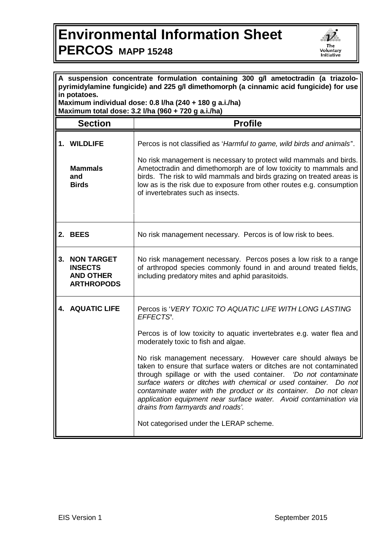## **Environmental Information Sheet PERCOS MAPP 15248**



| A suspension concentrate formulation containing 300 g/l ametoctradin (a triazolo-<br>pyrimidylamine fungicide) and 225 g/l dimethomorph (a cinnamic acid fungicide) for use<br>in potatoes. |                                                                              |                                                                                                                                                                                                                                                                                                                                                                                                                                                                                                                                                                                                                                                                                                      |  |
|---------------------------------------------------------------------------------------------------------------------------------------------------------------------------------------------|------------------------------------------------------------------------------|------------------------------------------------------------------------------------------------------------------------------------------------------------------------------------------------------------------------------------------------------------------------------------------------------------------------------------------------------------------------------------------------------------------------------------------------------------------------------------------------------------------------------------------------------------------------------------------------------------------------------------------------------------------------------------------------------|--|
| Maximum individual dose: 0.8 l/ha (240 + 180 g a.i./ha)<br>Maximum total dose: 3.2 l/ha (960 + 720 g a.i./ha)                                                                               |                                                                              |                                                                                                                                                                                                                                                                                                                                                                                                                                                                                                                                                                                                                                                                                                      |  |
|                                                                                                                                                                                             | <b>Section</b>                                                               | <b>Profile</b>                                                                                                                                                                                                                                                                                                                                                                                                                                                                                                                                                                                                                                                                                       |  |
|                                                                                                                                                                                             | 1. WILDLIFE<br><b>Mammals</b><br>and<br><b>Birds</b>                         | Percos is not classified as 'Harmful to game, wild birds and animals'.<br>No risk management is necessary to protect wild mammals and birds.<br>Ametoctradin and dimethomorph are of low toxicity to mammals and<br>birds. The risk to wild mammals and birds grazing on treated areas is<br>low as is the risk due to exposure from other routes e.g. consumption<br>of invertebrates such as insects.                                                                                                                                                                                                                                                                                              |  |
|                                                                                                                                                                                             | 2. BEES                                                                      | No risk management necessary. Percos is of low risk to bees.                                                                                                                                                                                                                                                                                                                                                                                                                                                                                                                                                                                                                                         |  |
| 3.                                                                                                                                                                                          | <b>NON TARGET</b><br><b>INSECTS</b><br><b>AND OTHER</b><br><b>ARTHROPODS</b> | No risk management necessary. Percos poses a low risk to a range<br>of arthropod species commonly found in and around treated fields,<br>including predatory mites and aphid parasitoids.                                                                                                                                                                                                                                                                                                                                                                                                                                                                                                            |  |
|                                                                                                                                                                                             | <b>4. AQUATIC LIFE</b>                                                       | Percos is 'VERY TOXIC TO AQUATIC LIFE WITH LONG LASTING<br>EFFECTS'.<br>Percos is of low toxicity to aquatic invertebrates e.g. water flea and<br>moderately toxic to fish and algae.<br>No risk management necessary.<br>However care should always be<br>taken to ensure that surface waters or ditches are not contaminated   <br>through spillage or with the used container. 'Do not contaminate<br>surface waters or ditches with chemical or used container. Do not<br>contaminate water with the product or its container. Do not clean<br>application equipment near surface water. Avoid contamination via<br>drains from farmyards and roads'.<br>Not categorised under the LERAP scheme. |  |